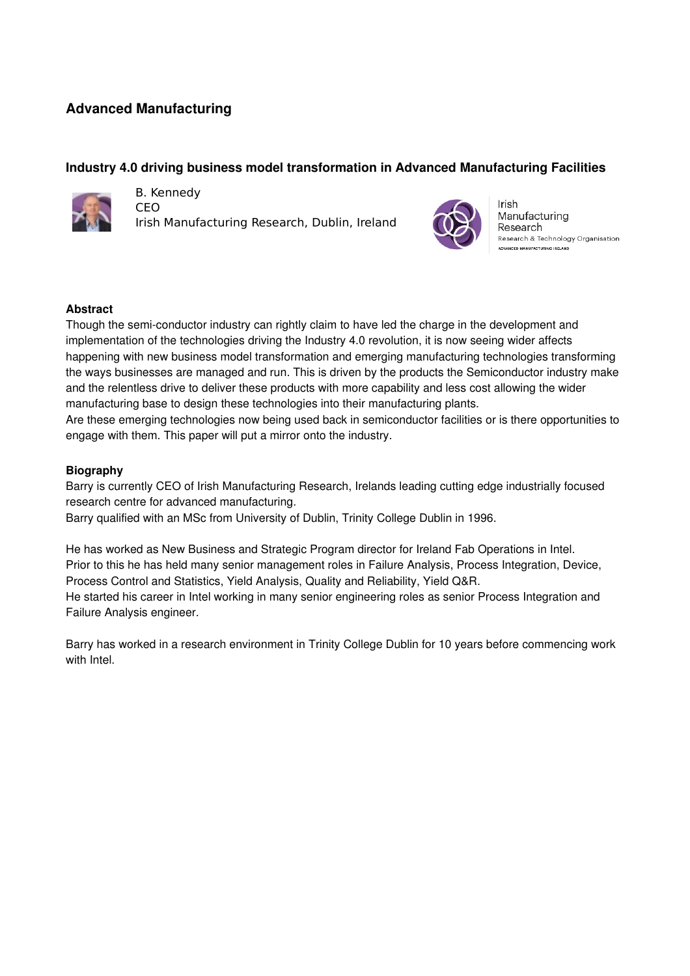# **Advanced Manufacturing**

## **Industry 4.0 driving business model transformation in Advanced Manufacturing Facilities**



B. Kennedy

CEO Irish Manufacturing Research, Dublin, Ireland



Irish Manufacturing Research Research & Technology Organisation

### **Abstract**

Though the semi-conductor industry can rightly claim to have led the charge in the development and implementation of the technologies driving the Industry 4.0 revolution, it is now seeing wider affects happening with new business model transformation and emerging manufacturing technologies transforming the ways businesses are managed and run. This is driven by the products the Semiconductor industry make and the relentless drive to deliver these products with more capability and less cost allowing the wider manufacturing base to design these technologies into their manufacturing plants.

Are these emerging technologies now being used back in semiconductor facilities or is there opportunities to engage with them. This paper will put a mirror onto the industry.

### **Biography**

Barry is currently CEO of Irish Manufacturing Research, Irelands leading cutting edge industrially focused research centre for advanced manufacturing.

Barry qualified with an MSc from University of Dublin, Trinity College Dublin in 1996.

He has worked as New Business and Strategic Program director for Ireland Fab Operations in Intel. Prior to this he has held many senior management roles in Failure Analysis, Process Integration, Device, Process Control and Statistics, Yield Analysis, Quality and Reliability, Yield Q&R. He started his career in Intel working in many senior engineering roles as senior Process Integration and Failure Analysis engineer.

Barry has worked in a research environment in Trinity College Dublin for 10 years before commencing work with Intel.